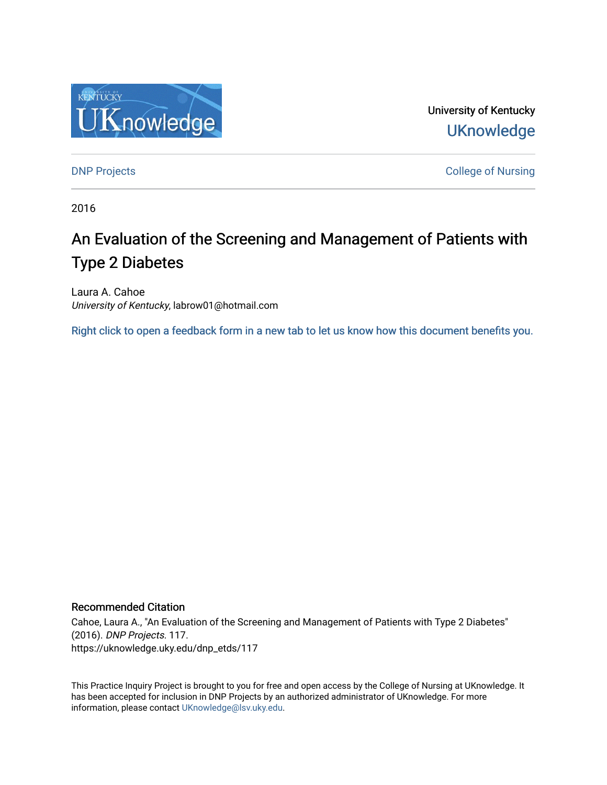

University of Kentucky **UKnowledge** 

**DNP Projects** College of Nursing

2016

# An Evaluation of the Screening and Management of Patients with Type 2 Diabetes

Laura A. Cahoe University of Kentucky, labrow01@hotmail.com

[Right click to open a feedback form in a new tab to let us know how this document benefits you.](https://uky.az1.qualtrics.com/jfe/form/SV_9mq8fx2GnONRfz7)

### Recommended Citation

Cahoe, Laura A., "An Evaluation of the Screening and Management of Patients with Type 2 Diabetes" (2016). DNP Projects. 117. https://uknowledge.uky.edu/dnp\_etds/117

This Practice Inquiry Project is brought to you for free and open access by the College of Nursing at UKnowledge. It has been accepted for inclusion in DNP Projects by an authorized administrator of UKnowledge. For more information, please contact [UKnowledge@lsv.uky.edu](mailto:UKnowledge@lsv.uky.edu).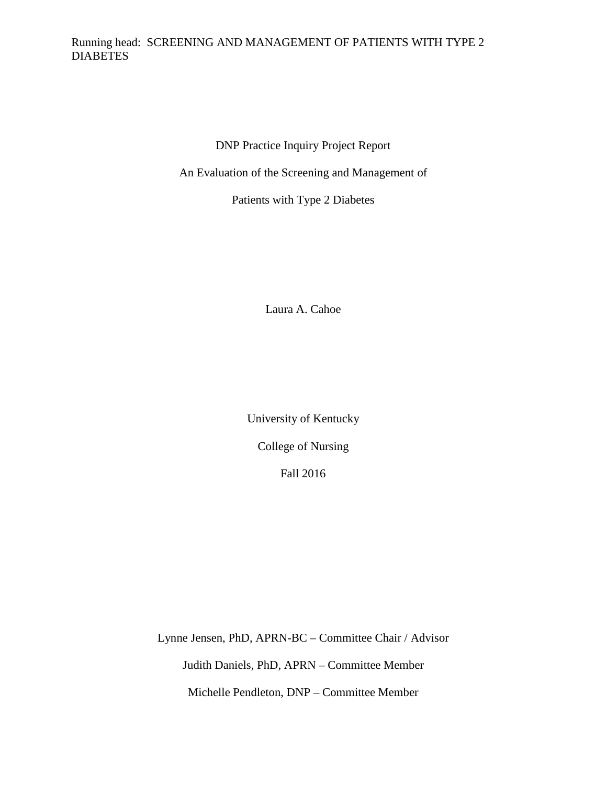### Running head: SCREENING AND MANAGEMENT OF PATIENTS WITH TYPE 2 **DIABETES**

DNP Practice Inquiry Project Report

An Evaluation of the Screening and Management of

Patients with Type 2 Diabetes

Laura A. Cahoe

University of Kentucky

College of Nursing

Fall 2016

Lynne Jensen, PhD, APRN-BC – Committee Chair / Advisor Judith Daniels, PhD, APRN – Committee Member Michelle Pendleton, DNP – Committee Member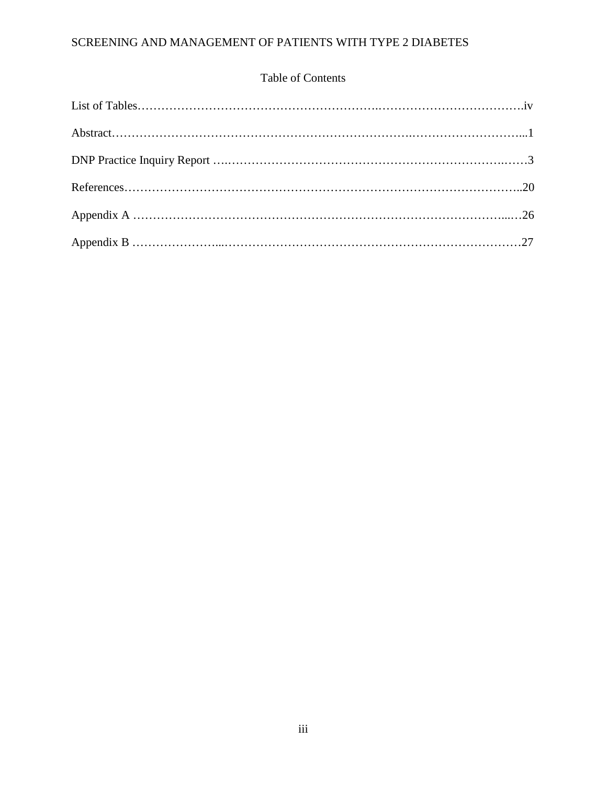### Table of Contents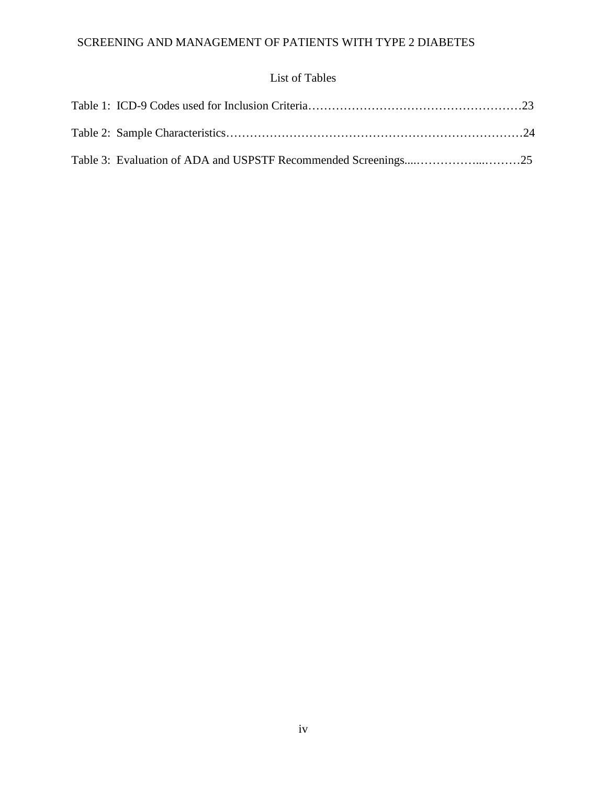# List of Tables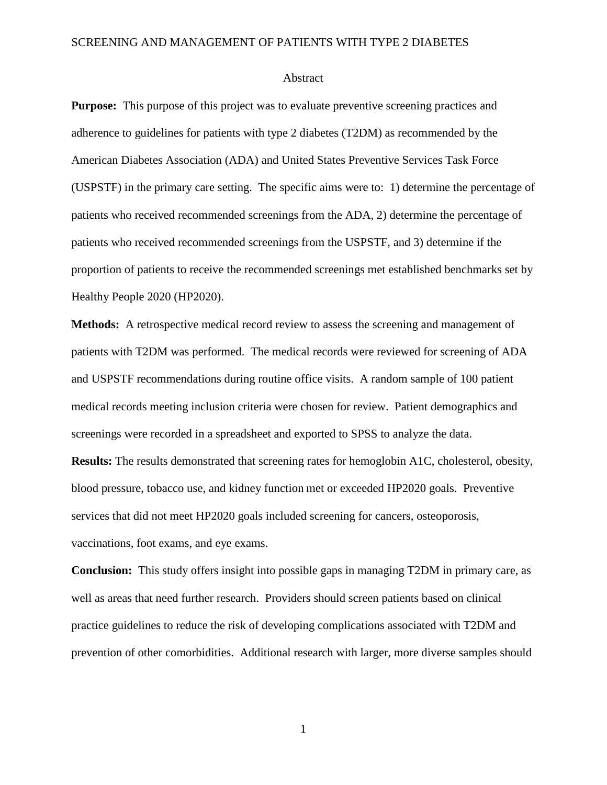#### Abstract

**Purpose:** This purpose of this project was to evaluate preventive screening practices and adherence to guidelines for patients with type 2 diabetes (T2DM) as recommended by the American Diabetes Association (ADA) and United States Preventive Services Task Force (USPSTF) in the primary care setting. The specific aims were to: 1) determine the percentage of patients who received recommended screenings from the ADA, 2) determine the percentage of patients who received recommended screenings from the USPSTF, and 3) determine if the proportion of patients to receive the recommended screenings met established benchmarks set by Healthy People 2020 (HP2020).

**Methods:** A retrospective medical record review to assess the screening and management of patients with T2DM was performed. The medical records were reviewed for screening of ADA and USPSTF recommendations during routine office visits. A random sample of 100 patient medical records meeting inclusion criteria were chosen for review. Patient demographics and screenings were recorded in a spreadsheet and exported to SPSS to analyze the data.

**Results:** The results demonstrated that screening rates for hemoglobin A1C, cholesterol, obesity, blood pressure, tobacco use, and kidney function met or exceeded HP2020 goals. Preventive services that did not meet HP2020 goals included screening for cancers, osteoporosis, vaccinations, foot exams, and eye exams.

**Conclusion:** This study offers insight into possible gaps in managing T2DM in primary care, as well as areas that need further research. Providers should screen patients based on clinical practice guidelines to reduce the risk of developing complications associated with T2DM and prevention of other comorbidities. Additional research with larger, more diverse samples should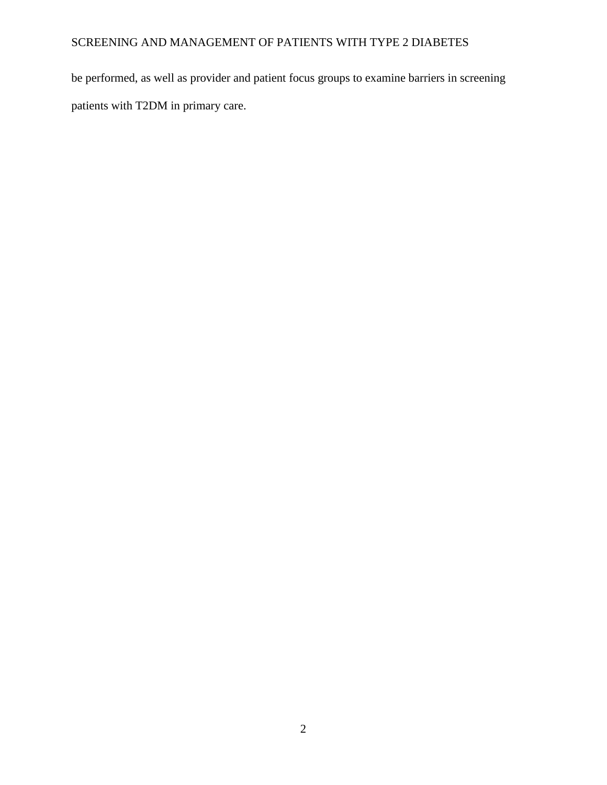be performed, as well as provider and patient focus groups to examine barriers in screening patients with T2DM in primary care.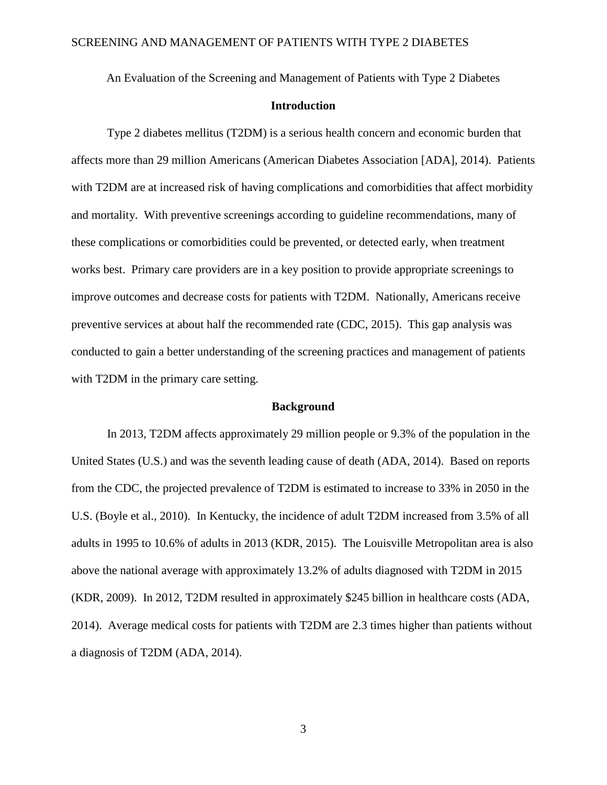An Evaluation of the Screening and Management of Patients with Type 2 Diabetes

### **Introduction**

Type 2 diabetes mellitus (T2DM) is a serious health concern and economic burden that affects more than 29 million Americans (American Diabetes Association [ADA], 2014). Patients with T2DM are at increased risk of having complications and comorbidities that affect morbidity and mortality. With preventive screenings according to guideline recommendations, many of these complications or comorbidities could be prevented, or detected early, when treatment works best. Primary care providers are in a key position to provide appropriate screenings to improve outcomes and decrease costs for patients with T2DM. Nationally, Americans receive preventive services at about half the recommended rate (CDC, 2015). This gap analysis was conducted to gain a better understanding of the screening practices and management of patients with T2DM in the primary care setting.

#### **Background**

In 2013, T2DM affects approximately 29 million people or 9.3% of the population in the United States (U.S.) and was the seventh leading cause of death (ADA, 2014). Based on reports from the CDC, the projected prevalence of T2DM is estimated to increase to 33% in 2050 in the U.S. (Boyle et al., 2010). In Kentucky, the incidence of adult T2DM increased from 3.5% of all adults in 1995 to 10.6% of adults in 2013 (KDR, 2015). The Louisville Metropolitan area is also above the national average with approximately 13.2% of adults diagnosed with T2DM in 2015 (KDR, 2009). In 2012, T2DM resulted in approximately \$245 billion in healthcare costs (ADA, 2014). Average medical costs for patients with T2DM are 2.3 times higher than patients without a diagnosis of T2DM (ADA, 2014).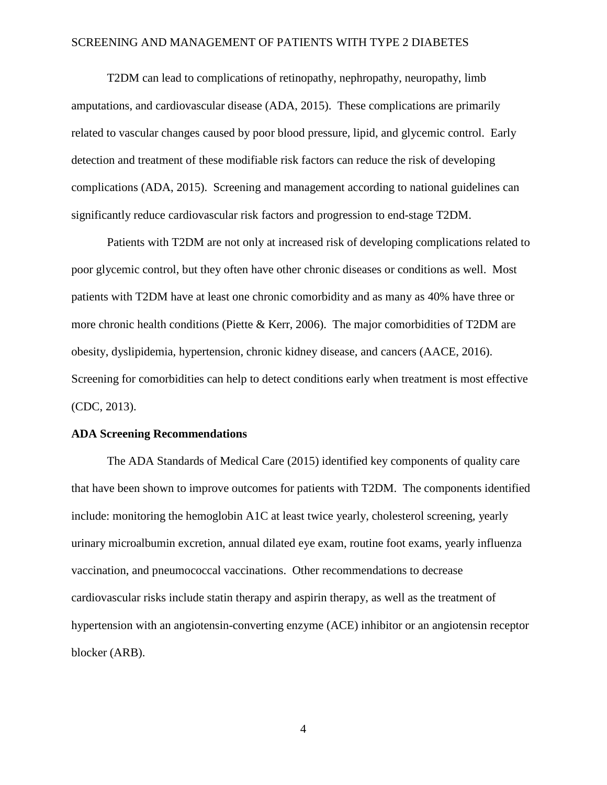T2DM can lead to complications of retinopathy, nephropathy, neuropathy, limb amputations, and cardiovascular disease (ADA, 2015). These complications are primarily related to vascular changes caused by poor blood pressure, lipid, and glycemic control. Early detection and treatment of these modifiable risk factors can reduce the risk of developing complications (ADA, 2015). Screening and management according to national guidelines can significantly reduce cardiovascular risk factors and progression to end-stage T2DM.

Patients with T2DM are not only at increased risk of developing complications related to poor glycemic control, but they often have other chronic diseases or conditions as well. Most patients with T2DM have at least one chronic comorbidity and as many as 40% have three or more chronic health conditions (Piette & Kerr, 2006). The major comorbidities of T2DM are obesity, dyslipidemia, hypertension, chronic kidney disease, and cancers (AACE, 2016). Screening for comorbidities can help to detect conditions early when treatment is most effective (CDC, 2013).

#### **ADA Screening Recommendations**

The ADA Standards of Medical Care (2015) identified key components of quality care that have been shown to improve outcomes for patients with T2DM. The components identified include: monitoring the hemoglobin A1C at least twice yearly, cholesterol screening, yearly urinary microalbumin excretion, annual dilated eye exam, routine foot exams, yearly influenza vaccination, and pneumococcal vaccinations. Other recommendations to decrease cardiovascular risks include statin therapy and aspirin therapy, as well as the treatment of hypertension with an angiotensin-converting enzyme (ACE) inhibitor or an angiotensin receptor blocker (ARB).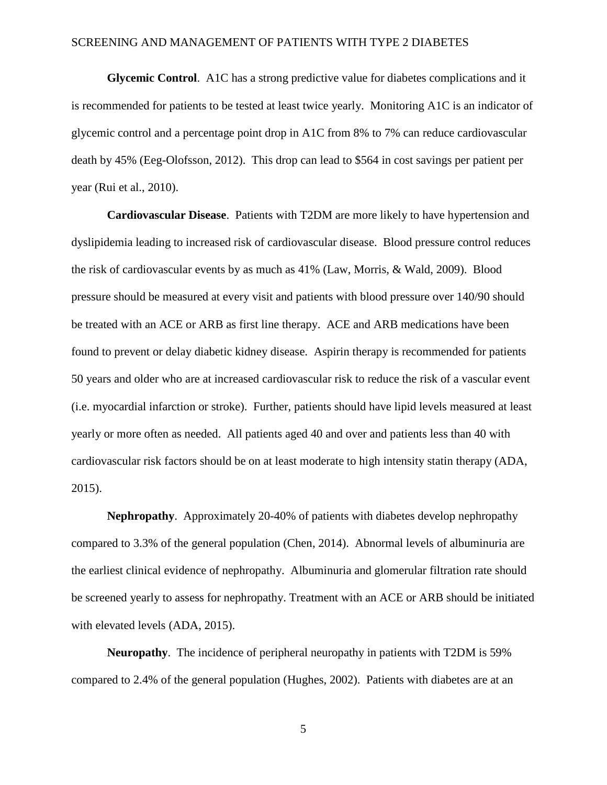**Glycemic Control**. A1C has a strong predictive value for diabetes complications and it is recommended for patients to be tested at least twice yearly. Monitoring A1C is an indicator of glycemic control and a percentage point drop in A1C from 8% to 7% can reduce cardiovascular death by 45% (Eeg-Olofsson, 2012). This drop can lead to \$564 in cost savings per patient per year (Rui et al., 2010).

**Cardiovascular Disease**. Patients with T2DM are more likely to have hypertension and dyslipidemia leading to increased risk of cardiovascular disease. Blood pressure control reduces the risk of cardiovascular events by as much as 41% (Law, Morris, & Wald, 2009). Blood pressure should be measured at every visit and patients with blood pressure over 140/90 should be treated with an ACE or ARB as first line therapy. ACE and ARB medications have been found to prevent or delay diabetic kidney disease. Aspirin therapy is recommended for patients 50 years and older who are at increased cardiovascular risk to reduce the risk of a vascular event (i.e. myocardial infarction or stroke). Further, patients should have lipid levels measured at least yearly or more often as needed. All patients aged 40 and over and patients less than 40 with cardiovascular risk factors should be on at least moderate to high intensity statin therapy (ADA, 2015).

**Nephropathy**. Approximately 20-40% of patients with diabetes develop nephropathy compared to 3.3% of the general population (Chen, 2014). Abnormal levels of albuminuria are the earliest clinical evidence of nephropathy. Albuminuria and glomerular filtration rate should be screened yearly to assess for nephropathy. Treatment with an ACE or ARB should be initiated with elevated levels (ADA, 2015).

**Neuropathy**. The incidence of peripheral neuropathy in patients with T2DM is 59% compared to 2.4% of the general population (Hughes, 2002). Patients with diabetes are at an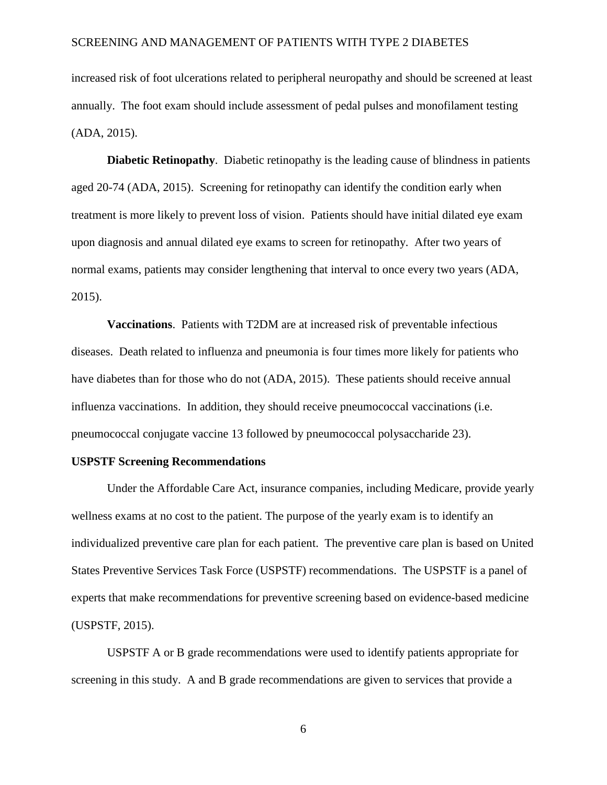increased risk of foot ulcerations related to peripheral neuropathy and should be screened at least annually. The foot exam should include assessment of pedal pulses and monofilament testing (ADA, 2015).

**Diabetic Retinopathy**. Diabetic retinopathy is the leading cause of blindness in patients aged 20-74 (ADA, 2015). Screening for retinopathy can identify the condition early when treatment is more likely to prevent loss of vision. Patients should have initial dilated eye exam upon diagnosis and annual dilated eye exams to screen for retinopathy. After two years of normal exams, patients may consider lengthening that interval to once every two years (ADA, 2015).

**Vaccinations**. Patients with T2DM are at increased risk of preventable infectious diseases. Death related to influenza and pneumonia is four times more likely for patients who have diabetes than for those who do not (ADA, 2015). These patients should receive annual influenza vaccinations. In addition, they should receive pneumococcal vaccinations (i.e. pneumococcal conjugate vaccine 13 followed by pneumococcal polysaccharide 23).

### **USPSTF Screening Recommendations**

Under the Affordable Care Act, insurance companies, including Medicare, provide yearly wellness exams at no cost to the patient. The purpose of the yearly exam is to identify an individualized preventive care plan for each patient. The preventive care plan is based on United States Preventive Services Task Force (USPSTF) recommendations. The USPSTF is a panel of experts that make recommendations for preventive screening based on evidence-based medicine (USPSTF, 2015).

USPSTF A or B grade recommendations were used to identify patients appropriate for screening in this study. A and B grade recommendations are given to services that provide a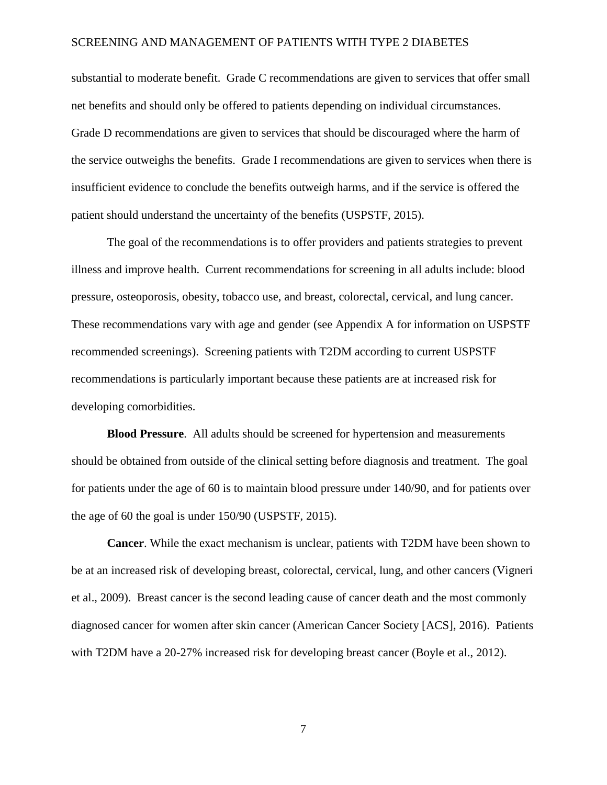substantial to moderate benefit. Grade C recommendations are given to services that offer small net benefits and should only be offered to patients depending on individual circumstances. Grade D recommendations are given to services that should be discouraged where the harm of the service outweighs the benefits. Grade I recommendations are given to services when there is insufficient evidence to conclude the benefits outweigh harms, and if the service is offered the patient should understand the uncertainty of the benefits (USPSTF, 2015).

The goal of the recommendations is to offer providers and patients strategies to prevent illness and improve health. Current recommendations for screening in all adults include: blood pressure, osteoporosis, obesity, tobacco use, and breast, colorectal, cervical, and lung cancer. These recommendations vary with age and gender (see Appendix A for information on USPSTF recommended screenings). Screening patients with T2DM according to current USPSTF recommendations is particularly important because these patients are at increased risk for developing comorbidities.

**Blood Pressure**. All adults should be screened for hypertension and measurements should be obtained from outside of the clinical setting before diagnosis and treatment. The goal for patients under the age of 60 is to maintain blood pressure under 140/90, and for patients over the age of 60 the goal is under 150/90 (USPSTF, 2015).

**Cancer**. While the exact mechanism is unclear, patients with T2DM have been shown to be at an increased risk of developing breast, colorectal, cervical, lung, and other cancers (Vigneri et al., 2009). Breast cancer is the second leading cause of cancer death and the most commonly diagnosed cancer for women after skin cancer (American Cancer Society [ACS], 2016). Patients with T2DM have a 20-27% increased risk for developing breast cancer (Boyle et al., 2012).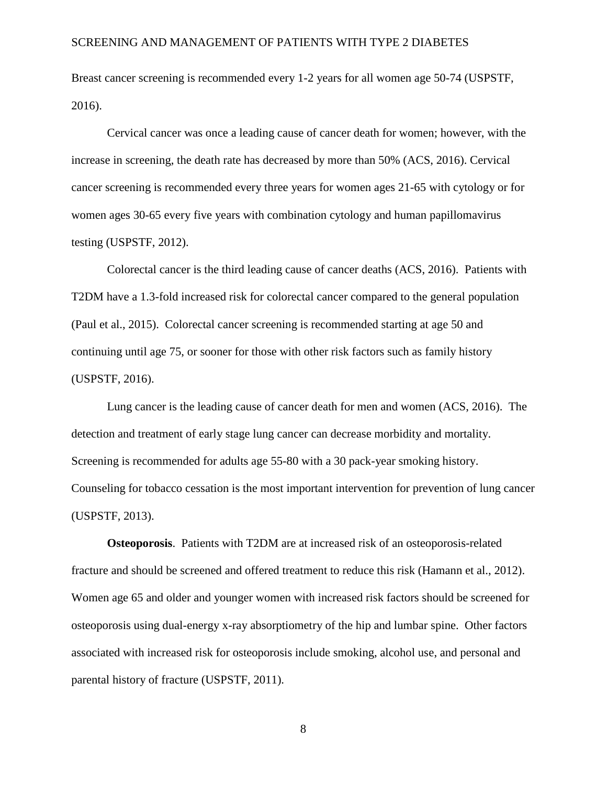Breast cancer screening is recommended every 1-2 years for all women age 50-74 (USPSTF, 2016).

Cervical cancer was once a leading cause of cancer death for women; however, with the increase in screening, the death rate has decreased by more than 50% (ACS, 2016). Cervical cancer screening is recommended every three years for women ages 21-65 with cytology or for women ages 30-65 every five years with combination cytology and human papillomavirus testing (USPSTF, 2012).

Colorectal cancer is the third leading cause of cancer deaths (ACS, 2016). Patients with T2DM have a 1.3-fold increased risk for colorectal cancer compared to the general population (Paul et al., 2015). Colorectal cancer screening is recommended starting at age 50 and continuing until age 75, or sooner for those with other risk factors such as family history (USPSTF, 2016).

Lung cancer is the leading cause of cancer death for men and women (ACS, 2016). The detection and treatment of early stage lung cancer can decrease morbidity and mortality. Screening is recommended for adults age 55-80 with a 30 pack-year smoking history. Counseling for tobacco cessation is the most important intervention for prevention of lung cancer (USPSTF, 2013).

**Osteoporosis.** Patients with T2DM are at increased risk of an osteoporosis-related fracture and should be screened and offered treatment to reduce this risk (Hamann et al., 2012). Women age 65 and older and younger women with increased risk factors should be screened for osteoporosis using dual-energy x-ray absorptiometry of the hip and lumbar spine. Other factors associated with increased risk for osteoporosis include smoking, alcohol use, and personal and parental history of fracture (USPSTF, 2011).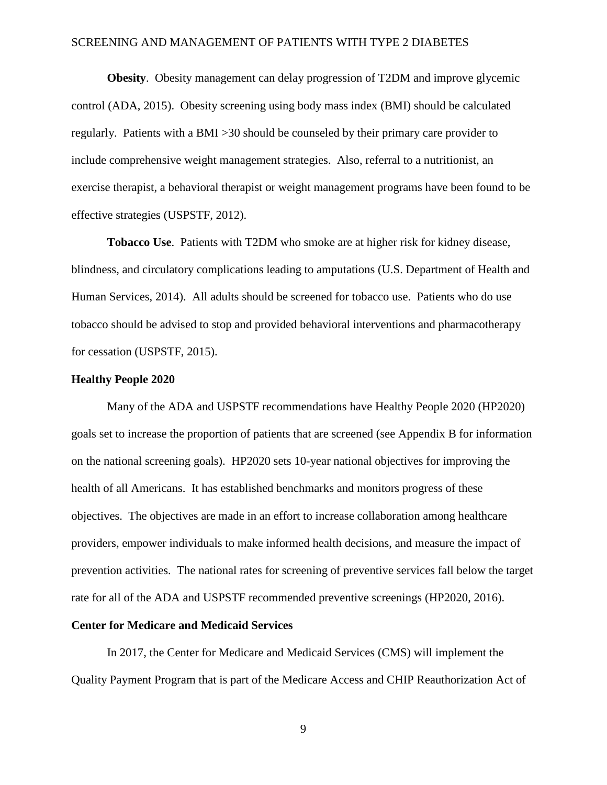**Obesity**. Obesity management can delay progression of T2DM and improve glycemic control (ADA, 2015). Obesity screening using body mass index (BMI) should be calculated regularly. Patients with a BMI >30 should be counseled by their primary care provider to include comprehensive weight management strategies. Also, referral to a nutritionist, an exercise therapist, a behavioral therapist or weight management programs have been found to be effective strategies (USPSTF, 2012).

**Tobacco Use**. Patients with T2DM who smoke are at higher risk for kidney disease, blindness, and circulatory complications leading to amputations (U.S. Department of Health and Human Services, 2014). All adults should be screened for tobacco use. Patients who do use tobacco should be advised to stop and provided behavioral interventions and pharmacotherapy for cessation (USPSTF, 2015).

#### **Healthy People 2020**

Many of the ADA and USPSTF recommendations have Healthy People 2020 (HP2020) goals set to increase the proportion of patients that are screened (see Appendix B for information on the national screening goals). HP2020 sets 10-year national objectives for improving the health of all Americans. It has established benchmarks and monitors progress of these objectives. The objectives are made in an effort to increase collaboration among healthcare providers, empower individuals to make informed health decisions, and measure the impact of prevention activities. The national rates for screening of preventive services fall below the target rate for all of the ADA and USPSTF recommended preventive screenings (HP2020, 2016).

### **Center for Medicare and Medicaid Services**

In 2017, the Center for Medicare and Medicaid Services (CMS) will implement the Quality Payment Program that is part of the Medicare Access and CHIP Reauthorization Act of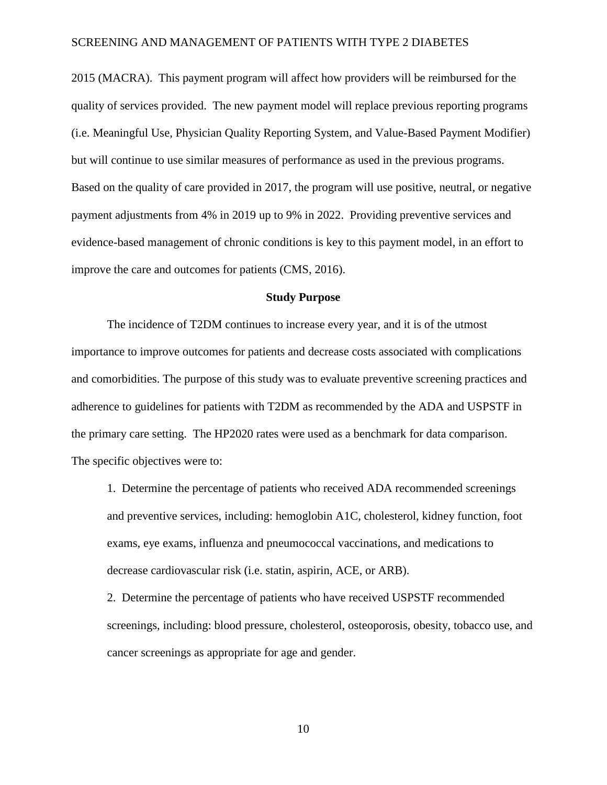2015 (MACRA). This payment program will affect how providers will be reimbursed for the quality of services provided. The new payment model will replace previous reporting programs (i.e. Meaningful Use, Physician Quality Reporting System, and Value-Based Payment Modifier) but will continue to use similar measures of performance as used in the previous programs. Based on the quality of care provided in 2017, the program will use positive, neutral, or negative payment adjustments from 4% in 2019 up to 9% in 2022. Providing preventive services and evidence-based management of chronic conditions is key to this payment model, in an effort to improve the care and outcomes for patients (CMS, 2016).

### **Study Purpose**

The incidence of T2DM continues to increase every year, and it is of the utmost importance to improve outcomes for patients and decrease costs associated with complications and comorbidities. The purpose of this study was to evaluate preventive screening practices and adherence to guidelines for patients with T2DM as recommended by the ADA and USPSTF in the primary care setting. The HP2020 rates were used as a benchmark for data comparison. The specific objectives were to:

1. Determine the percentage of patients who received ADA recommended screenings and preventive services, including: hemoglobin A1C, cholesterol, kidney function, foot exams, eye exams, influenza and pneumococcal vaccinations, and medications to decrease cardiovascular risk (i.e. statin, aspirin, ACE, or ARB).

2. Determine the percentage of patients who have received USPSTF recommended screenings, including: blood pressure, cholesterol, osteoporosis, obesity, tobacco use, and cancer screenings as appropriate for age and gender.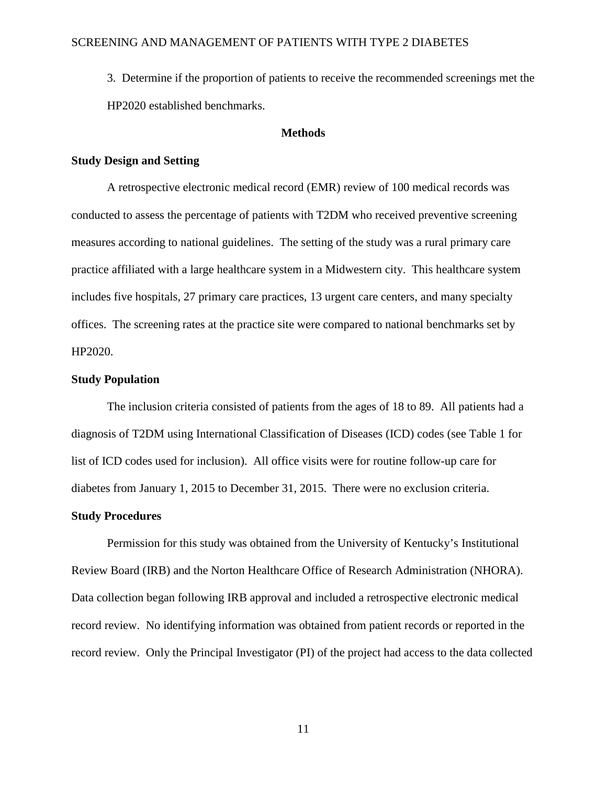3. Determine if the proportion of patients to receive the recommended screenings met the HP2020 established benchmarks.

### **Methods**

### **Study Design and Setting**

A retrospective electronic medical record (EMR) review of 100 medical records was conducted to assess the percentage of patients with T2DM who received preventive screening measures according to national guidelines. The setting of the study was a rural primary care practice affiliated with a large healthcare system in a Midwestern city. This healthcare system includes five hospitals, 27 primary care practices, 13 urgent care centers, and many specialty offices. The screening rates at the practice site were compared to national benchmarks set by HP2020.

#### **Study Population**

The inclusion criteria consisted of patients from the ages of 18 to 89. All patients had a diagnosis of T2DM using International Classification of Diseases (ICD) codes (see Table 1 for list of ICD codes used for inclusion). All office visits were for routine follow-up care for diabetes from January 1, 2015 to December 31, 2015. There were no exclusion criteria.

#### **Study Procedures**

Permission for this study was obtained from the University of Kentucky's Institutional Review Board (IRB) and the Norton Healthcare Office of Research Administration (NHORA). Data collection began following IRB approval and included a retrospective electronic medical record review. No identifying information was obtained from patient records or reported in the record review. Only the Principal Investigator (PI) of the project had access to the data collected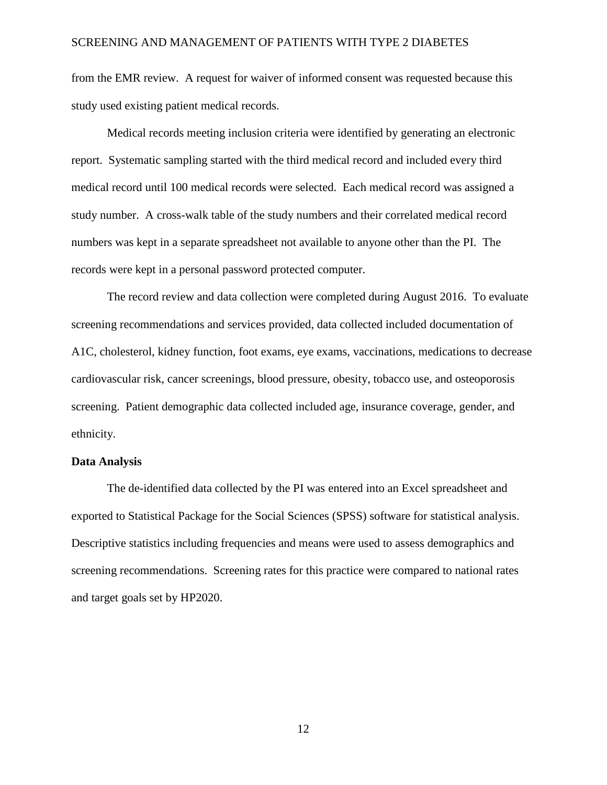from the EMR review. A request for waiver of informed consent was requested because this study used existing patient medical records.

Medical records meeting inclusion criteria were identified by generating an electronic report. Systematic sampling started with the third medical record and included every third medical record until 100 medical records were selected. Each medical record was assigned a study number. A cross-walk table of the study numbers and their correlated medical record numbers was kept in a separate spreadsheet not available to anyone other than the PI. The records were kept in a personal password protected computer.

The record review and data collection were completed during August 2016. To evaluate screening recommendations and services provided, data collected included documentation of A1C, cholesterol, kidney function, foot exams, eye exams, vaccinations, medications to decrease cardiovascular risk, cancer screenings, blood pressure, obesity, tobacco use, and osteoporosis screening. Patient demographic data collected included age, insurance coverage, gender, and ethnicity.

### **Data Analysis**

The de-identified data collected by the PI was entered into an Excel spreadsheet and exported to Statistical Package for the Social Sciences (SPSS) software for statistical analysis. Descriptive statistics including frequencies and means were used to assess demographics and screening recommendations. Screening rates for this practice were compared to national rates and target goals set by HP2020.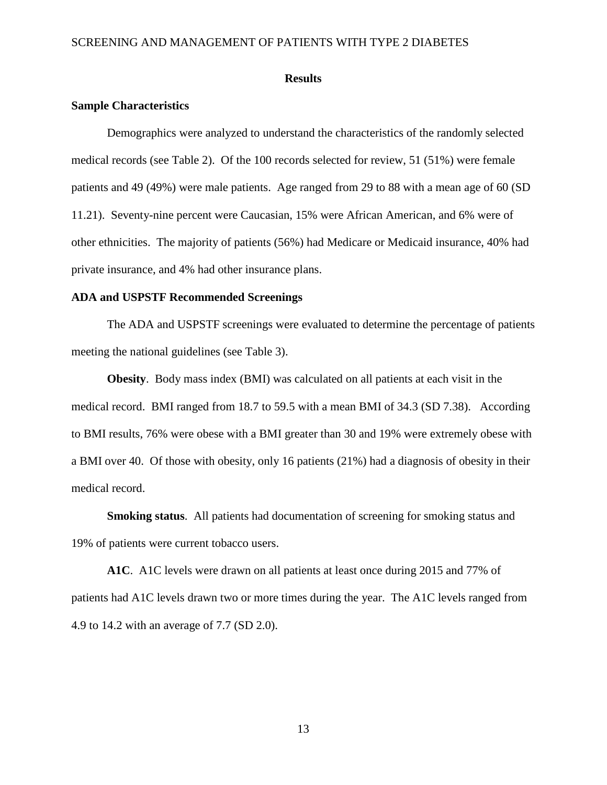#### **Results**

### **Sample Characteristics**

Demographics were analyzed to understand the characteristics of the randomly selected medical records (see Table 2). Of the 100 records selected for review, 51 (51%) were female patients and 49 (49%) were male patients. Age ranged from 29 to 88 with a mean age of 60 (SD 11.21). Seventy-nine percent were Caucasian, 15% were African American, and 6% were of other ethnicities. The majority of patients (56%) had Medicare or Medicaid insurance, 40% had private insurance, and 4% had other insurance plans.

### **ADA and USPSTF Recommended Screenings**

The ADA and USPSTF screenings were evaluated to determine the percentage of patients meeting the national guidelines (see Table 3).

**Obesity**. Body mass index (BMI) was calculated on all patients at each visit in the medical record. BMI ranged from 18.7 to 59.5 with a mean BMI of 34.3 (SD 7.38). According to BMI results, 76% were obese with a BMI greater than 30 and 19% were extremely obese with a BMI over 40. Of those with obesity, only 16 patients (21%) had a diagnosis of obesity in their medical record.

**Smoking status**. All patients had documentation of screening for smoking status and 19% of patients were current tobacco users.

**A1C**. A1C levels were drawn on all patients at least once during 2015 and 77% of patients had A1C levels drawn two or more times during the year. The A1C levels ranged from 4.9 to 14.2 with an average of 7.7 (SD 2.0).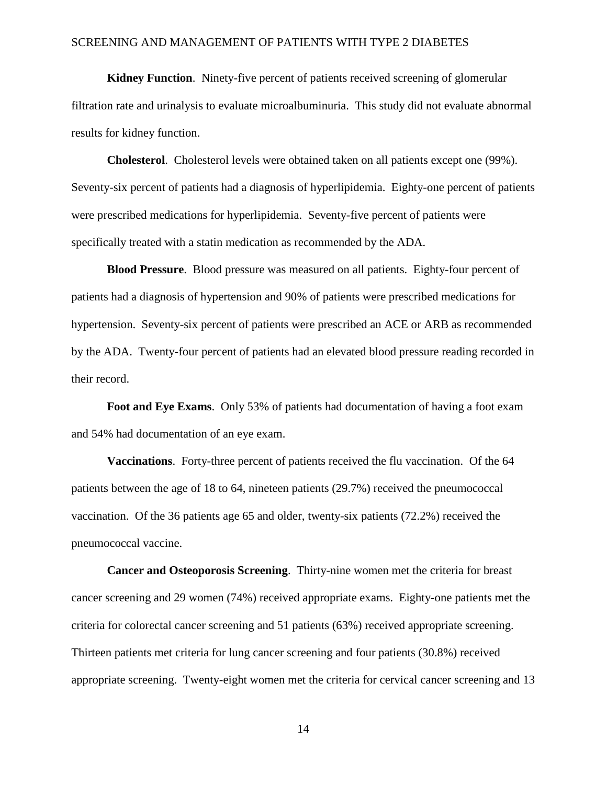**Kidney Function**. Ninety-five percent of patients received screening of glomerular filtration rate and urinalysis to evaluate microalbuminuria. This study did not evaluate abnormal results for kidney function.

**Cholesterol**. Cholesterol levels were obtained taken on all patients except one (99%). Seventy-six percent of patients had a diagnosis of hyperlipidemia. Eighty-one percent of patients were prescribed medications for hyperlipidemia. Seventy-five percent of patients were specifically treated with a statin medication as recommended by the ADA.

**Blood Pressure**. Blood pressure was measured on all patients. Eighty-four percent of patients had a diagnosis of hypertension and 90% of patients were prescribed medications for hypertension. Seventy-six percent of patients were prescribed an ACE or ARB as recommended by the ADA. Twenty-four percent of patients had an elevated blood pressure reading recorded in their record.

**Foot and Eye Exams**. Only 53% of patients had documentation of having a foot exam and 54% had documentation of an eye exam.

**Vaccinations**. Forty-three percent of patients received the flu vaccination. Of the 64 patients between the age of 18 to 64, nineteen patients (29.7%) received the pneumococcal vaccination. Of the 36 patients age 65 and older, twenty-six patients (72.2%) received the pneumococcal vaccine.

**Cancer and Osteoporosis Screening**. Thirty-nine women met the criteria for breast cancer screening and 29 women (74%) received appropriate exams. Eighty-one patients met the criteria for colorectal cancer screening and 51 patients (63%) received appropriate screening. Thirteen patients met criteria for lung cancer screening and four patients (30.8%) received appropriate screening. Twenty-eight women met the criteria for cervical cancer screening and 13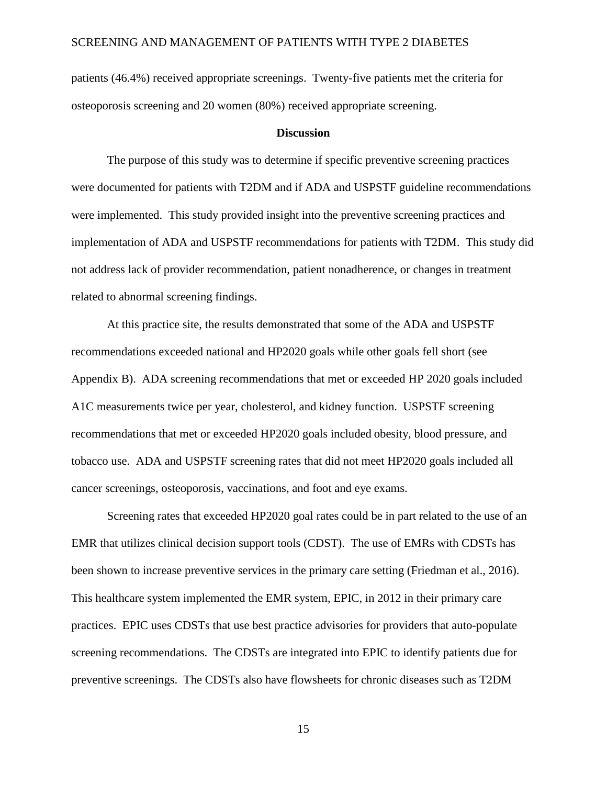patients (46.4%) received appropriate screenings. Twenty-five patients met the criteria for osteoporosis screening and 20 women (80%) received appropriate screening.

#### **Discussion**

The purpose of this study was to determine if specific preventive screening practices were documented for patients with T2DM and if ADA and USPSTF guideline recommendations were implemented. This study provided insight into the preventive screening practices and implementation of ADA and USPSTF recommendations for patients with T2DM. This study did not address lack of provider recommendation, patient nonadherence, or changes in treatment related to abnormal screening findings.

At this practice site, the results demonstrated that some of the ADA and USPSTF recommendations exceeded national and HP2020 goals while other goals fell short (see Appendix B). ADA screening recommendations that met or exceeded HP 2020 goals included A1C measurements twice per year, cholesterol, and kidney function. USPSTF screening recommendations that met or exceeded HP2020 goals included obesity, blood pressure, and tobacco use. ADA and USPSTF screening rates that did not meet HP2020 goals included all cancer screenings, osteoporosis, vaccinations, and foot and eye exams.

Screening rates that exceeded HP2020 goal rates could be in part related to the use of an EMR that utilizes clinical decision support tools (CDST). The use of EMRs with CDSTs has been shown to increase preventive services in the primary care setting (Friedman et al., 2016). This healthcare system implemented the EMR system, EPIC, in 2012 in their primary care practices. EPIC uses CDSTs that use best practice advisories for providers that auto-populate screening recommendations. The CDSTs are integrated into EPIC to identify patients due for preventive screenings. The CDSTs also have flowsheets for chronic diseases such as T2DM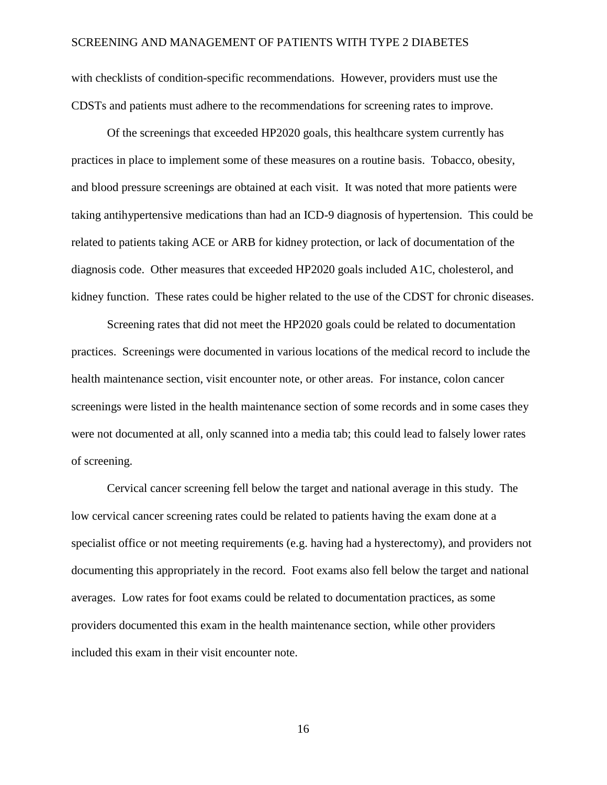with checklists of condition-specific recommendations. However, providers must use the CDSTs and patients must adhere to the recommendations for screening rates to improve.

Of the screenings that exceeded HP2020 goals, this healthcare system currently has practices in place to implement some of these measures on a routine basis. Tobacco, obesity, and blood pressure screenings are obtained at each visit. It was noted that more patients were taking antihypertensive medications than had an ICD-9 diagnosis of hypertension. This could be related to patients taking ACE or ARB for kidney protection, or lack of documentation of the diagnosis code. Other measures that exceeded HP2020 goals included A1C, cholesterol, and kidney function. These rates could be higher related to the use of the CDST for chronic diseases.

Screening rates that did not meet the HP2020 goals could be related to documentation practices. Screenings were documented in various locations of the medical record to include the health maintenance section, visit encounter note, or other areas. For instance, colon cancer screenings were listed in the health maintenance section of some records and in some cases they were not documented at all, only scanned into a media tab; this could lead to falsely lower rates of screening.

Cervical cancer screening fell below the target and national average in this study. The low cervical cancer screening rates could be related to patients having the exam done at a specialist office or not meeting requirements (e.g. having had a hysterectomy), and providers not documenting this appropriately in the record. Foot exams also fell below the target and national averages. Low rates for foot exams could be related to documentation practices, as some providers documented this exam in the health maintenance section, while other providers included this exam in their visit encounter note.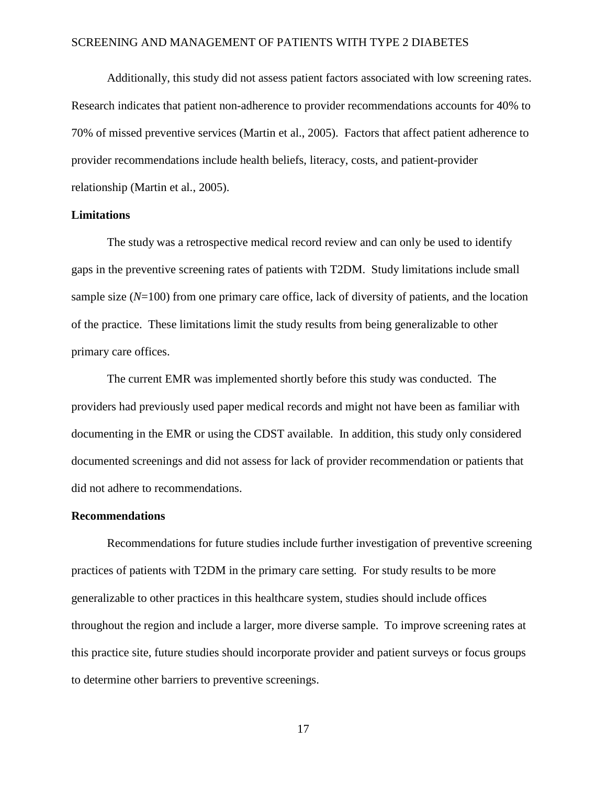Additionally, this study did not assess patient factors associated with low screening rates. Research indicates that patient non-adherence to provider recommendations accounts for 40% to 70% of missed preventive services (Martin et al., 2005). Factors that affect patient adherence to provider recommendations include health beliefs, literacy, costs, and patient-provider relationship (Martin et al., 2005).

### **Limitations**

The study was a retrospective medical record review and can only be used to identify gaps in the preventive screening rates of patients with T2DM. Study limitations include small sample size (*N*=100) from one primary care office, lack of diversity of patients, and the location of the practice. These limitations limit the study results from being generalizable to other primary care offices.

The current EMR was implemented shortly before this study was conducted. The providers had previously used paper medical records and might not have been as familiar with documenting in the EMR or using the CDST available. In addition, this study only considered documented screenings and did not assess for lack of provider recommendation or patients that did not adhere to recommendations.

#### **Recommendations**

Recommendations for future studies include further investigation of preventive screening practices of patients with T2DM in the primary care setting. For study results to be more generalizable to other practices in this healthcare system, studies should include offices throughout the region and include a larger, more diverse sample. To improve screening rates at this practice site, future studies should incorporate provider and patient surveys or focus groups to determine other barriers to preventive screenings.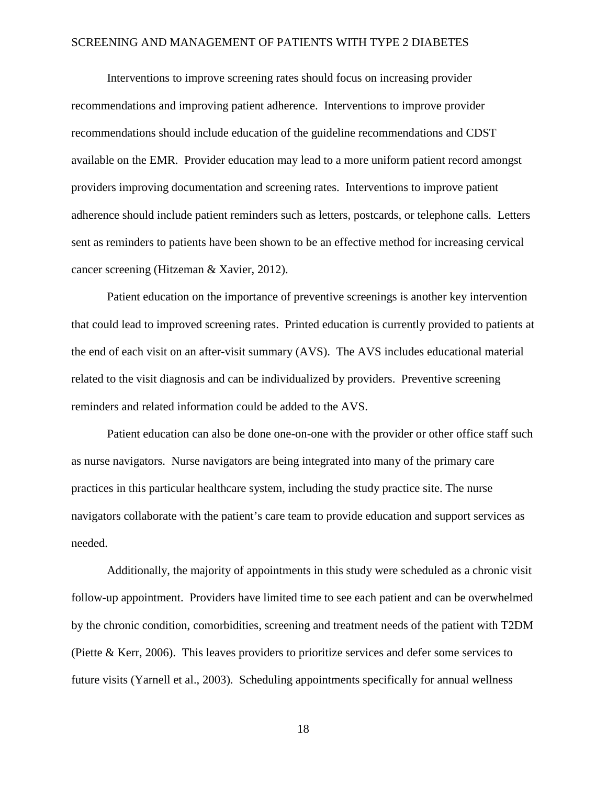Interventions to improve screening rates should focus on increasing provider recommendations and improving patient adherence. Interventions to improve provider recommendations should include education of the guideline recommendations and CDST available on the EMR. Provider education may lead to a more uniform patient record amongst providers improving documentation and screening rates. Interventions to improve patient adherence should include patient reminders such as letters, postcards, or telephone calls. Letters sent as reminders to patients have been shown to be an effective method for increasing cervical cancer screening (Hitzeman & Xavier, 2012).

Patient education on the importance of preventive screenings is another key intervention that could lead to improved screening rates. Printed education is currently provided to patients at the end of each visit on an after-visit summary (AVS). The AVS includes educational material related to the visit diagnosis and can be individualized by providers. Preventive screening reminders and related information could be added to the AVS.

Patient education can also be done one-on-one with the provider or other office staff such as nurse navigators. Nurse navigators are being integrated into many of the primary care practices in this particular healthcare system, including the study practice site. The nurse navigators collaborate with the patient's care team to provide education and support services as needed.

Additionally, the majority of appointments in this study were scheduled as a chronic visit follow-up appointment. Providers have limited time to see each patient and can be overwhelmed by the chronic condition, comorbidities, screening and treatment needs of the patient with T2DM (Piette & Kerr, 2006). This leaves providers to prioritize services and defer some services to future visits (Yarnell et al., 2003). Scheduling appointments specifically for annual wellness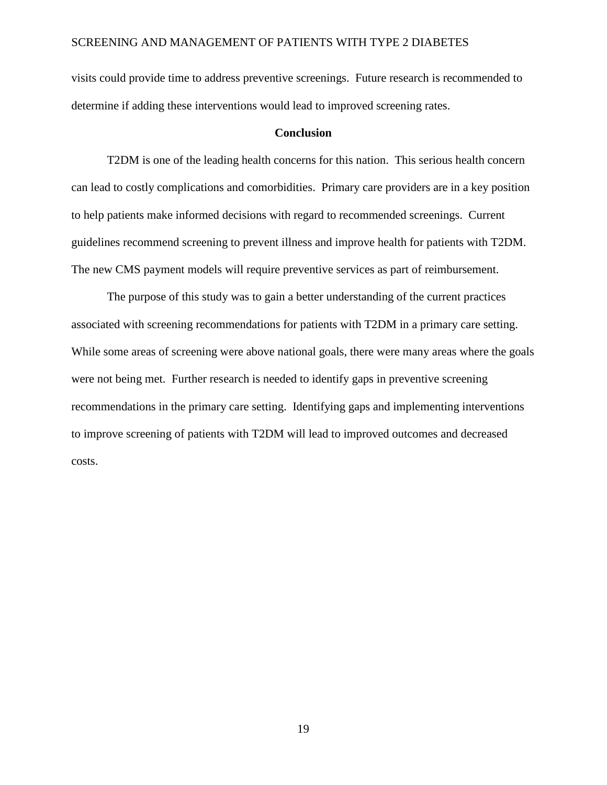visits could provide time to address preventive screenings. Future research is recommended to determine if adding these interventions would lead to improved screening rates.

### **Conclusion**

T2DM is one of the leading health concerns for this nation. This serious health concern can lead to costly complications and comorbidities. Primary care providers are in a key position to help patients make informed decisions with regard to recommended screenings. Current guidelines recommend screening to prevent illness and improve health for patients with T2DM. The new CMS payment models will require preventive services as part of reimbursement.

The purpose of this study was to gain a better understanding of the current practices associated with screening recommendations for patients with T2DM in a primary care setting. While some areas of screening were above national goals, there were many areas where the goals were not being met. Further research is needed to identify gaps in preventive screening recommendations in the primary care setting. Identifying gaps and implementing interventions to improve screening of patients with T2DM will lead to improved outcomes and decreased costs.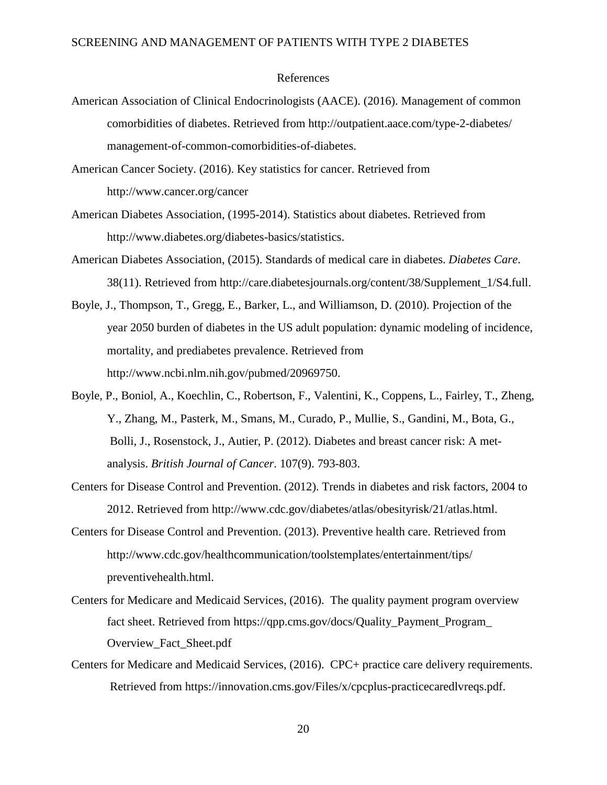#### References

- American Association of Clinical Endocrinologists (AACE). (2016). Management of common comorbidities of diabetes. Retrieved from http://outpatient.aace.com/type-2-diabetes/ management-of-common-comorbidities-of-diabetes.
- American Cancer Society. (2016). Key statistics for cancer. Retrieved from http://www.cancer.org/cancer
- American Diabetes Association, (1995-2014). Statistics about diabetes. Retrieved from http://www.diabetes.org/diabetes-basics/statistics.
- American Diabetes Association, (2015). Standards of medical care in diabetes. *Diabetes Care*. 38(11). Retrieved from http://care.diabetesjournals.org/content/38/Supplement\_1/S4.full.
- Boyle, J., Thompson, T., Gregg, E., Barker, L., and Williamson, D. (2010). Projection of the year 2050 burden of diabetes in the US adult population: dynamic modeling of incidence, mortality, and prediabetes prevalence. Retrieved from http://www.ncbi.nlm.nih.gov/pubmed/20969750.
- Boyle, P., Boniol, A., Koechlin, C., Robertson, F., Valentini, K., Coppens, L., Fairley, T., Zheng, Y., Zhang, M., Pasterk, M., Smans, M., Curado, P., Mullie, S., Gandini, M., Bota, G., Bolli, J., Rosenstock, J., Autier, P. (2012). Diabetes and breast cancer risk: A metanalysis. *British Journal of Cancer*. 107(9). 793-803.
- Centers for Disease Control and Prevention. (2012). Trends in diabetes and risk factors, 2004 to 2012. Retrieved from http://www.cdc.gov/diabetes/atlas/obesityrisk/21/atlas.html.
- Centers for Disease Control and Prevention. (2013). Preventive health care. Retrieved from http://www.cdc.gov/healthcommunication/toolstemplates/entertainment/tips/ preventivehealth.html.
- Centers for Medicare and Medicaid Services, (2016). The quality payment program overview fact sheet. Retrieved from https://qpp.cms.gov/docs/Quality\_Payment\_Program\_ Overview\_Fact\_Sheet.pdf
- Centers for Medicare and Medicaid Services, (2016). CPC+ practice care delivery requirements. Retrieved from https://innovation.cms.gov/Files/x/cpcplus-practicecaredlvreqs.pdf.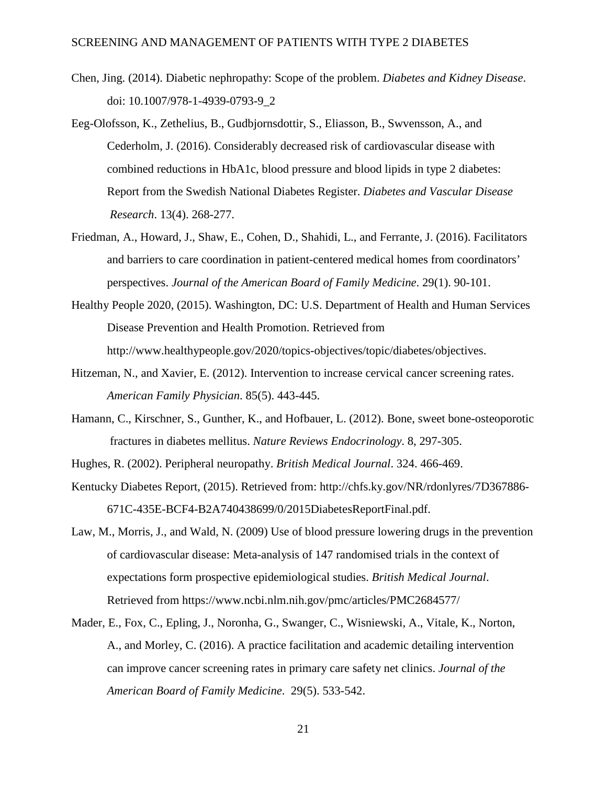- Chen, Jing. (2014). Diabetic nephropathy: Scope of the problem. *Diabetes and Kidney Disease*. doi: 10.1007/978-1-4939-0793-9\_2
- Eeg-Olofsson, K., Zethelius, B., Gudbjornsdottir, S., Eliasson, B., Swvensson, A., and Cederholm, J. (2016). Considerably decreased risk of cardiovascular disease with combined reductions in HbA1c, blood pressure and blood lipids in type 2 diabetes: Report from the Swedish National Diabetes Register. *Diabetes and Vascular Disease Research*. 13(4). 268-277.
- Friedman, A., Howard, J., Shaw, E., Cohen, D., Shahidi, L., and Ferrante, J. (2016). Facilitators and barriers to care coordination in patient-centered medical homes from coordinators' perspectives. *Journal of the American Board of Family Medicine*. 29(1). 90-101.
- Healthy People 2020, (2015). Washington, DC: U.S. Department of Health and Human Services Disease Prevention and Health Promotion. Retrieved from http://www.healthypeople.gov/2020/topics-objectives/topic/diabetes/objectives.
- Hitzeman, N., and Xavier, E. (2012). Intervention to increase cervical cancer screening rates. *American Family Physician*. 85(5). 443-445.
- Hamann, C., Kirschner, S., Gunther, K., and Hofbauer, L. (2012). Bone, sweet bone-osteoporotic fractures in diabetes mellitus. *Nature Reviews Endocrinology*. 8, 297-305.

Hughes, R. (2002). Peripheral neuropathy. *British Medical Journal*. 324. 466-469.

- Kentucky Diabetes Report, (2015). Retrieved from: http://chfs.ky.gov/NR/rdonlyres/7D367886- 671C-435E-BCF4-B2A740438699/0/2015DiabetesReportFinal.pdf.
- Law, M., Morris, J., and Wald, N. (2009) Use of blood pressure lowering drugs in the prevention of cardiovascular disease: Meta-analysis of 147 randomised trials in the context of expectations form prospective epidemiological studies. *British Medical Journal*. Retrieved from https://www.ncbi.nlm.nih.gov/pmc/articles/PMC2684577/
- Mader, E., Fox, C., Epling, J., Noronha, G., Swanger, C., Wisniewski, A., Vitale, K., Norton, A., and Morley, C. (2016). A practice facilitation and academic detailing intervention can improve cancer screening rates in primary care safety net clinics. *Journal of the American Board of Family Medicine*. 29(5). 533-542.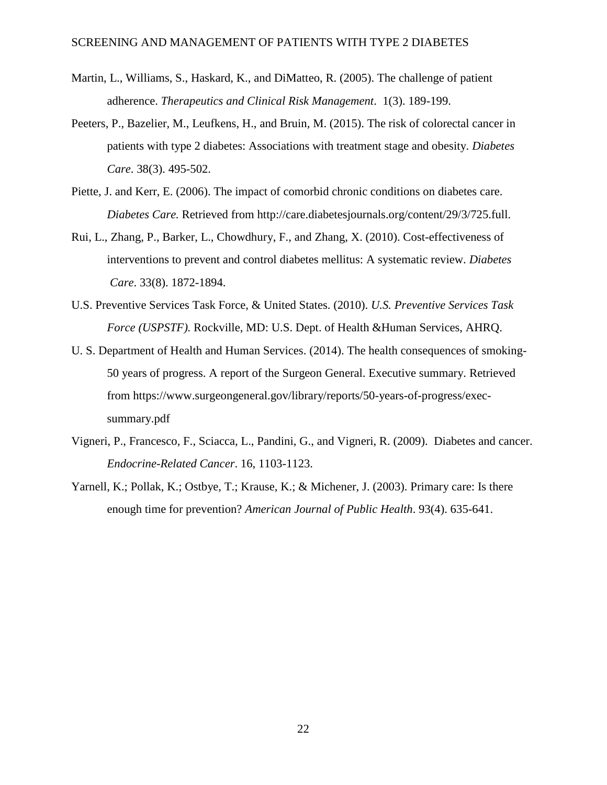- Martin, L., Williams, S., Haskard, K., and DiMatteo, R. (2005). The challenge of patient adherence. *Therapeutics and Clinical Risk Management*. 1(3). 189-199.
- Peeters, P., Bazelier, M., Leufkens, H., and Bruin, M. (2015). The risk of colorectal cancer in patients with type 2 diabetes: Associations with treatment stage and obesity. *Diabetes Care*. 38(3). 495-502.
- Piette, J. and Kerr, E. (2006). The impact of comorbid chronic conditions on diabetes care. *Diabetes Care.* Retrieved from http://care.diabetesjournals.org/content/29/3/725.full.
- Rui, L., Zhang, P., Barker, L., Chowdhury, F., and Zhang, X. (2010). Cost-effectiveness of interventions to prevent and control diabetes mellitus: A systematic review. *Diabetes Care*. 33(8). 1872-1894.
- U.S. Preventive Services Task Force, & United States. (2010). *U.S. Preventive Services Task Force (USPSTF).* Rockville, MD: U.S. Dept. of Health &Human Services, AHRQ.
- U. S. Department of Health and Human Services. (2014). The health consequences of smoking-50 years of progress. A report of the Surgeon General. Executive summary. Retrieved from https://www.surgeongeneral.gov/library/reports/50-years-of-progress/execsummary.pdf
- Vigneri, P., Francesco, F., Sciacca, L., Pandini, G., and Vigneri, R. (2009). Diabetes and cancer. *Endocrine-Related Cancer*. 16, 1103-1123.
- Yarnell, K.; Pollak, K.; Ostbye, T.; Krause, K.; & Michener, J. (2003). Primary care: Is there enough time for prevention? *American Journal of Public Health*. 93(4). 635-641.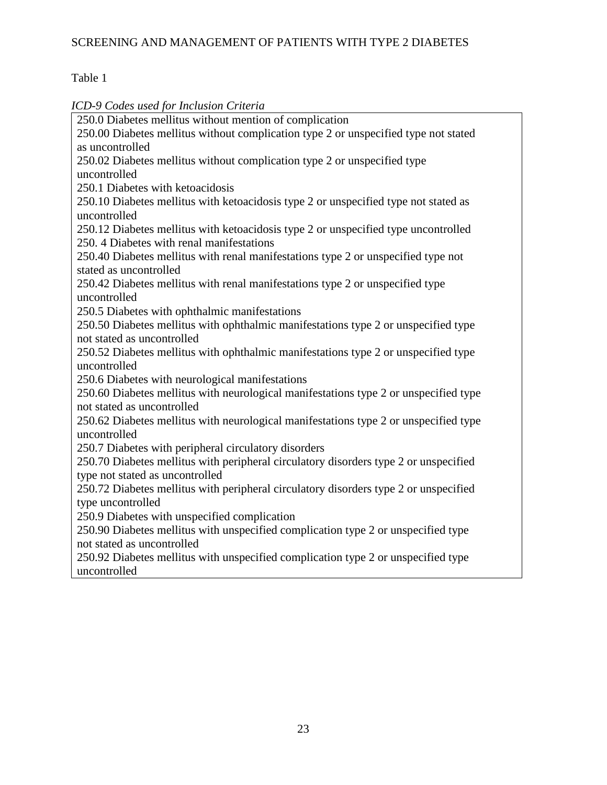# Table 1

*ICD-9 Codes used for Inclusion Criteria*

250.0 Diabetes mellitus without mention of complication 250.00 Diabetes mellitus without complication type 2 or unspecified type not stated as uncontrolled 250.02 Diabetes mellitus without complication type 2 or unspecified type uncontrolled 250.1 Diabetes with ketoacidosis 250.10 Diabetes mellitus with ketoacidosis type 2 or unspecified type not stated as uncontrolled 250.12 Diabetes mellitus with ketoacidosis type 2 or unspecified type uncontrolled 250. 4 Diabetes with renal manifestations 250.40 Diabetes mellitus with renal manifestations type 2 or unspecified type not stated as uncontrolled 250.42 Diabetes mellitus with renal manifestations type 2 or unspecified type uncontrolled 250.5 Diabetes with ophthalmic manifestations 250.50 Diabetes mellitus with ophthalmic manifestations type 2 or unspecified type not stated as uncontrolled 250.52 Diabetes mellitus with ophthalmic manifestations type 2 or unspecified type uncontrolled 250.6 Diabetes with neurological manifestations 250.60 Diabetes mellitus with neurological manifestations type 2 or unspecified type not stated as uncontrolled 250.62 Diabetes mellitus with neurological manifestations type 2 or unspecified type uncontrolled 250.7 Diabetes with peripheral circulatory disorders 250.70 Diabetes mellitus with peripheral circulatory disorders type 2 or unspecified type not stated as uncontrolled 250.72 Diabetes mellitus with peripheral circulatory disorders type 2 or unspecified type uncontrolled 250.9 Diabetes with unspecified complication 250.90 Diabetes mellitus with unspecified complication type 2 or unspecified type not stated as uncontrolled 250.92 Diabetes mellitus with unspecified complication type 2 or unspecified type uncontrolled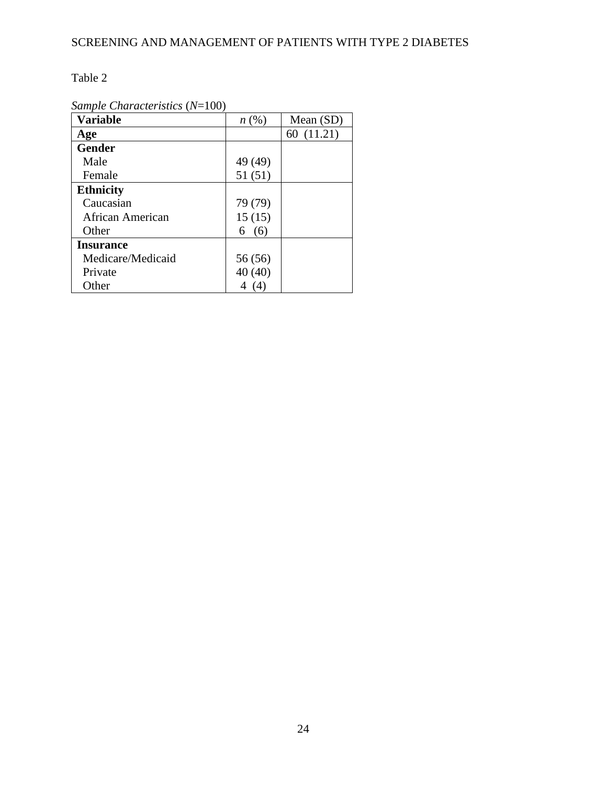### Table 2

*Sample Characteristics* (*N*=100)

| <b>Variable</b>   | n(%)              | Mean (SD)  |
|-------------------|-------------------|------------|
| Age               |                   | 60 (11.21) |
| <b>Gender</b>     |                   |            |
| Male              | 49 (49)           |            |
| Female            | 51(51)            |            |
| <b>Ethnicity</b>  |                   |            |
| Caucasian         | 79 (79)           |            |
| African American  | 15(15)            |            |
| Other             | (6)<br>6          |            |
| <b>Insurance</b>  |                   |            |
| Medicare/Medicaid | 56 (56)           |            |
| Private           | 40 (40)           |            |
| Other             | $\left( 4\right)$ |            |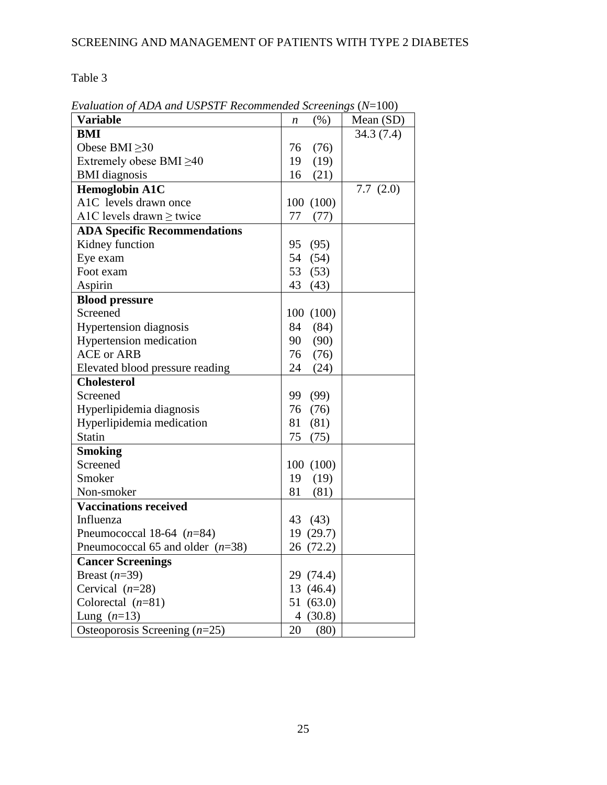Table 3

|                                     | $\alpha$    |             |
|-------------------------------------|-------------|-------------|
| <b>Variable</b>                     | (% )<br>n   | Mean $(SD)$ |
| <b>BMI</b>                          |             | 34.3(7.4)   |
| Obese BMI $\geq$ 30                 | (76)<br>76  |             |
| Extremely obese BMI $\geq$ 40       | 19<br>(19)  |             |
| <b>BMI</b> diagnosis                | 16<br>(21)  |             |
| <b>Hemoglobin A1C</b>               |             | 7.7(2.0)    |
| A1C levels drawn once               | 100(100)    |             |
| A1C levels drawn $\geq$ twice       | 77<br>(77)  |             |
| <b>ADA Specific Recommendations</b> |             |             |
| Kidney function                     | (95)<br>95  |             |
| Eye exam                            | 54<br>(54)  |             |
| Foot exam                           | 53<br>(53)  |             |
| Aspirin                             | 43<br>(43)  |             |
| <b>Blood pressure</b>               |             |             |
| Screened                            | 100 (100)   |             |
| <b>Hypertension</b> diagnosis       | (84)<br>84  |             |
| <b>Hypertension</b> medication      | 90<br>(90)  |             |
| <b>ACE or ARB</b>                   | 76<br>(76)  |             |
| Elevated blood pressure reading     | 24<br>(24)  |             |
| <b>Cholesterol</b>                  |             |             |
| Screened                            | (99)<br>99  |             |
| Hyperlipidemia diagnosis            | 76<br>(76)  |             |
| Hyperlipidemia medication           | 81<br>(81)  |             |
| Statin                              | 75<br>(75)  |             |
| <b>Smoking</b>                      |             |             |
| Screened                            | 100(100)    |             |
| Smoker                              | 19<br>(19)  |             |
| Non-smoker                          | 81<br>(81)  |             |
| <b>Vaccinations received</b>        |             |             |
| Influenza                           | 43<br>(43)  |             |
| Pneumococcal 18-64 $(n=84)$         | 19(29.7)    |             |
| Pneumococcal 65 and older $(n=38)$  | 26 (72.2)   |             |
| <b>Cancer Screenings</b>            |             |             |
| Breast $(n=39)$                     | 29 (74.4)   |             |
| Cervical $(n=28)$                   | 13 (46.4)   |             |
| Colorectal $(n=81)$                 | 51 (63.0)   |             |
| Lung $(n=13)$                       | (30.8)<br>4 |             |
| Osteoporosis Screening $(n=25)$     | 20<br>(80)  |             |

*Evaluation of ADA and USPSTF Recommended Screenings* (*N*=100)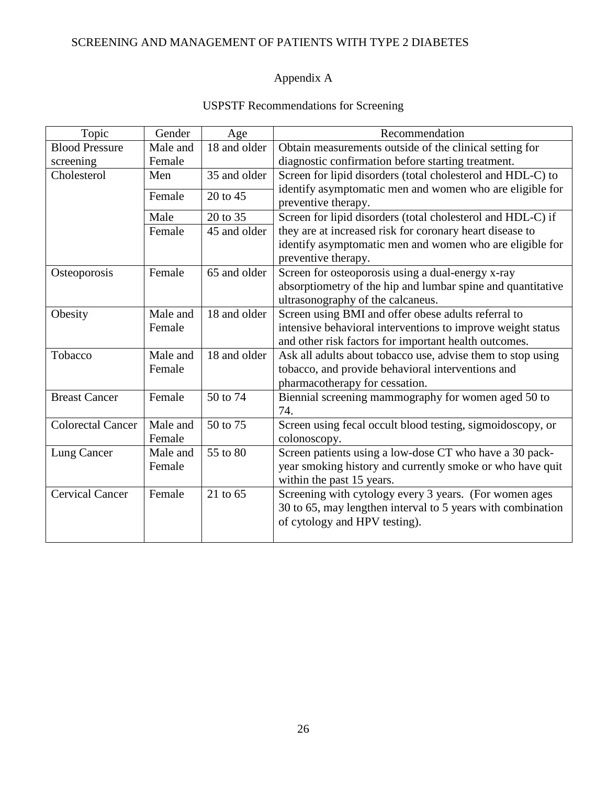# Appendix A

| <b>USPSTF Recommendations for Screening</b> |
|---------------------------------------------|
|---------------------------------------------|

| Topic                    | Gender   | Age          | Recommendation                                              |  |
|--------------------------|----------|--------------|-------------------------------------------------------------|--|
| <b>Blood Pressure</b>    | Male and | 18 and older | Obtain measurements outside of the clinical setting for     |  |
| screening                | Female   |              | diagnostic confirmation before starting treatment.          |  |
| Cholesterol              | Men      | 35 and older | Screen for lipid disorders (total cholesterol and HDL-C) to |  |
|                          | Female   | 20 to 45     | identify asymptomatic men and women who are eligible for    |  |
|                          |          |              | preventive therapy.                                         |  |
|                          | Male     | 20 to 35     | Screen for lipid disorders (total cholesterol and HDL-C) if |  |
|                          | Female   | 45 and older | they are at increased risk for coronary heart disease to    |  |
|                          |          |              | identify asymptomatic men and women who are eligible for    |  |
|                          |          |              | preventive therapy.                                         |  |
| Osteoporosis             | Female   | 65 and older | Screen for osteoporosis using a dual-energy x-ray           |  |
|                          |          |              | absorptiometry of the hip and lumbar spine and quantitative |  |
|                          |          |              | ultrasonography of the calcaneus.                           |  |
| Obesity                  | Male and | 18 and older | Screen using BMI and offer obese adults referral to         |  |
|                          | Female   |              | intensive behavioral interventions to improve weight status |  |
|                          |          |              | and other risk factors for important health outcomes.       |  |
| Tobacco                  | Male and | 18 and older | Ask all adults about tobacco use, advise them to stop using |  |
|                          | Female   |              | tobacco, and provide behavioral interventions and           |  |
|                          |          |              | pharmacotherapy for cessation.                              |  |
| <b>Breast Cancer</b>     | Female   | 50 to 74     | Biennial screening mammography for women aged 50 to         |  |
|                          |          |              | 74.                                                         |  |
| <b>Colorectal Cancer</b> | Male and | 50 to 75     | Screen using fecal occult blood testing, sigmoidoscopy, or  |  |
|                          | Female   |              | colonoscopy.                                                |  |
| Lung Cancer              | Male and | 55 to 80     | Screen patients using a low-dose CT who have a 30 pack-     |  |
|                          | Female   |              | year smoking history and currently smoke or who have quit   |  |
|                          |          |              | within the past 15 years.                                   |  |
| <b>Cervical Cancer</b>   | Female   | 21 to 65     | Screening with cytology every 3 years. (For women ages      |  |
|                          |          |              | 30 to 65, may lengthen interval to 5 years with combination |  |
|                          |          |              | of cytology and HPV testing).                               |  |
|                          |          |              |                                                             |  |